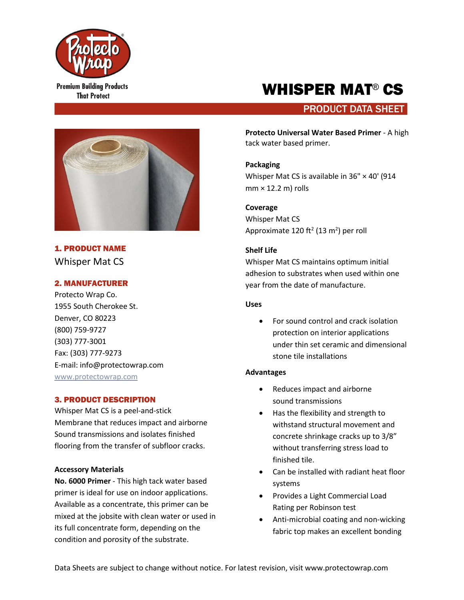

**Premium Building Products That Protect** 

# WHISPER MAT® CS

# **PRODUCT DATA SHEET**



1. PRODUCT NAME Whisper Mat CS

# 2. MANUFACTURER

Protecto Wrap Co. 1955 South Cherokee St. Denver, CO 80223 (800) 759-9727 (303) 777-3001 Fax: (303) 777-9273 E-mail: info@protectowrap.com [www.protectowrap.com](http://www.protectowrap.com/)

# 3. PRODUCT DESCRIPTION

Whisper Mat CS is a peel-and-stick Membrane that reduces impact and airborne Sound transmissions and isolates finished flooring from the transfer of subfloor cracks.

# **Accessory Materials**

**No. 6000 Primer** - This high tack water based primer is ideal for use on indoor applications. Available as a concentrate, this primer can be mixed at the jobsite with clean water or used in its full concentrate form, depending on the condition and porosity of the substrate.

**Protecto Universal Water Based Primer** - A high tack water based primer.

# **Packaging**

Whisper Mat CS is available in 36" × 40' (914  $mm \times 12.2 m$ ) rolls

**Coverage**  Whisper Mat CS Approximate 120 ft<sup>2</sup> (13 m<sup>2</sup>) per roll

# **Shelf Life**

Whisper Mat CS maintains optimum initial adhesion to substrates when used within one year from the date of manufacture.

# **Uses**

• For sound control and crack isolation protection on interior applications under thin set ceramic and dimensional stone tile installations

# **Advantages**

- Reduces impact and airborne sound transmissions
- Has the flexibility and strength to withstand structural movement and concrete shrinkage cracks up to 3/8" without transferring stress load to finished tile.
- Can be installed with radiant heat floor systems
- Provides a Light Commercial Load Rating per Robinson test
- Anti-microbial coating and non-wicking fabric top makes an excellent bonding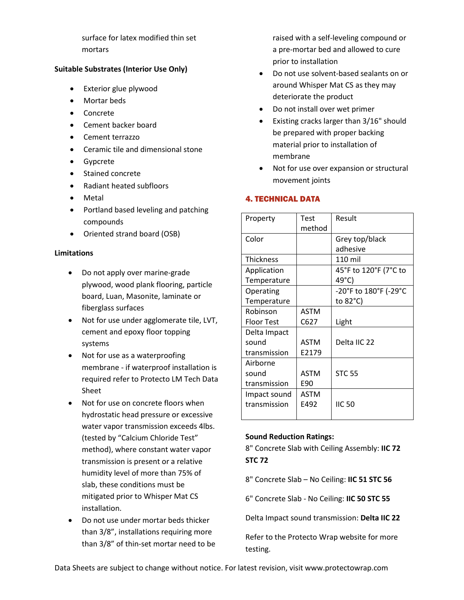surface for latex modified thin set mortars

# **Suitable Substrates (Interior Use Only)**

- Exterior glue plywood
- Mortar beds
- Concrete
- Cement backer board
- Cement terrazzo
- Ceramic tile and dimensional stone
- Gypcrete
- Stained concrete
- Radiant heated subfloors
- Metal
- Portland based leveling and patching compounds
- Oriented strand board (OSB)

## **Limitations**

- Do not apply over marine-grade plywood, wood plank flooring, particle board, Luan, Masonite, laminate or fiberglass surfaces
- Not for use under agglomerate tile, LVT, cement and epoxy floor topping systems
- Not for use as a waterproofing membrane - if waterproof installation is required refer to Protecto LM Tech Data Sheet
- Not for use on concrete floors when hydrostatic head pressure or excessive water vapor transmission exceeds 4lbs. (tested by "Calcium Chloride Test" method), where constant water vapor transmission is present or a relative humidity level of more than 75% of slab, these conditions must be mitigated prior to Whisper Mat CS installation.
- Do not use under mortar beds thicker than 3/8", installations requiring more than 3/8" of thin-set mortar need to be

raised with a self-leveling compound or a pre-mortar bed and allowed to cure prior to installation

- Do not use solvent-based sealants on or around Whisper Mat CS as they may deteriorate the product
- Do not install over wet primer
- Existing cracks larger than 3/16" should be prepared with proper backing material prior to installation of membrane
- Not for use over expansion or structural movement joints

# 4. TECHNICAL DATA

| Property                              | Test<br>method       | Result                                      |
|---------------------------------------|----------------------|---------------------------------------------|
| Color                                 |                      | Grey top/black<br>adhesive                  |
| <b>Thickness</b>                      |                      | 110 mil                                     |
| Application<br>Temperature            |                      | 45°F to 120°F (7°C to<br>49°C)              |
| Operating<br>Temperature              |                      | -20°F to 180°F (-29°C<br>to $82^{\circ}$ C) |
| Robinson<br><b>Floor Test</b>         | ASTM<br>C627         | Light                                       |
| Delta Impact<br>sound<br>transmission | <b>ASTM</b><br>E2179 | Delta IIC 22                                |
| Airborne<br>sound<br>transmission     | <b>ASTM</b><br>E90   | <b>STC 55</b>                               |
| Impact sound<br>transmission          | <b>ASTM</b><br>E492  | <b>IIC 50</b>                               |

#### **Sound Reduction Ratings:**

8" Concrete Slab with Ceiling Assembly: **IIC 72 STC 72**

8" Concrete Slab – No Ceiling: **IIC 51 STC 56**

6" Concrete Slab - No Ceiling: **IIC 50 STC 55**

Delta Impact sound transmission: **Delta IIC 22**

Refer to the Protecto Wrap website for more testing.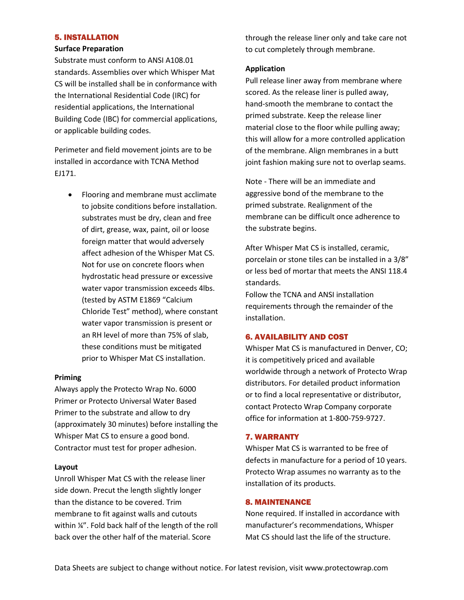# 5. INSTALLATION

#### **Surface Preparation**

Substrate must conform to ANSI A108.01 standards. Assemblies over which Whisper Mat CS will be installed shall be in conformance with the International Residential Code (IRC) for residential applications, the International Building Code (IBC) for commercial applications, or applicable building codes.

Perimeter and field movement joints are to be installed in accordance with TCNA Method EJ171.

• Flooring and membrane must acclimate to jobsite conditions before installation. substrates must be dry, clean and free of dirt, grease, wax, paint, oil or loose foreign matter that would adversely affect adhesion of the Whisper Mat CS. Not for use on concrete floors when hydrostatic head pressure or excessive water vapor transmission exceeds 4lbs. (tested by ASTM E1869 "Calcium Chloride Test" method), where constant water vapor transmission is present or an RH level of more than 75% of slab, these conditions must be mitigated prior to Whisper Mat CS installation.

#### **Priming**

Always apply the Protecto Wrap No. 6000 Primer or Protecto Universal Water Based Primer to the substrate and allow to dry (approximately 30 minutes) before installing the Whisper Mat CS to ensure a good bond. Contractor must test for proper adhesion.

#### **Layout**

Unroll Whisper Mat CS with the release liner side down. Precut the length slightly longer than the distance to be covered. Trim membrane to fit against walls and cutouts within ¼". Fold back half of the length of the roll back over the other half of the material. Score

through the release liner only and take care not to cut completely through membrane.

#### **Application**

Pull release liner away from membrane where scored. As the release liner is pulled away, hand-smooth the membrane to contact the primed substrate. Keep the release liner material close to the floor while pulling away; this will allow for a more controlled application of the membrane. Align membranes in a butt joint fashion making sure not to overlap seams.

Note - There will be an immediate and aggressive bond of the membrane to the primed substrate. Realignment of the membrane can be difficult once adherence to the substrate begins.

After Whisper Mat CS is installed, ceramic, porcelain or stone tiles can be installed in a 3/8" or less bed of mortar that meets the ANSI 118.4 standards.

Follow the TCNA and ANSI installation requirements through the remainder of the installation.

## 6. AVAILABILITY AND COST

Whisper Mat CS is manufactured in Denver, CO; it is competitively priced and available worldwide through a network of Protecto Wrap distributors. For detailed product information or to find a local representative or distributor, contact Protecto Wrap Company corporate office for information at 1-800-759-9727.

#### 7. WARRANTY

Whisper Mat CS is warranted to be free of defects in manufacture for a period of 10 years. Protecto Wrap assumes no warranty as to the installation of its products.

#### 8. MAINTENANCE

None required. If installed in accordance with manufacturer's recommendations, Whisper Mat CS should last the life of the structure.